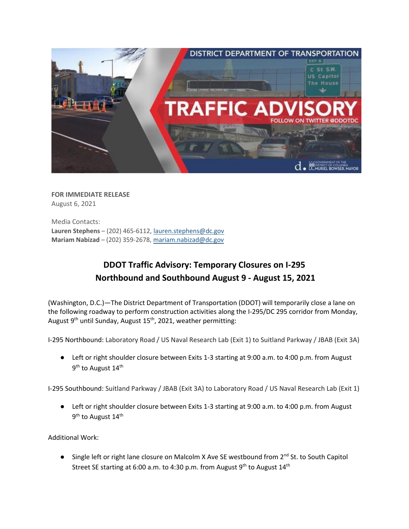

**FOR IMMEDIATE RELEASE** August 6, 2021

Media Contacts: **Lauren Stephens** – (202) 465-6112[, lauren.stephens@dc.gov](mailto:lauren.stephens@dc.gov) **Mariam Nabizad** – (202) 359-2678, [mariam.nabizad@dc.gov](mailto:mariam.nabizad@dc.gov)

## **DDOT Traffic Advisory: Temporary Closures on I-295 Northbound and Southbound August 9 - August 15, 2021**

(Washington, D.C.)—The District Department of Transportation (DDOT) will temporarily close a lane on the following roadway to perform construction activities along the I-295/DC 295 corridor from Monday, August 9<sup>th</sup> until Sunday, August 15<sup>th</sup>, 2021, weather permitting:

I-295 Northbound: Laboratory Road / US Naval Research Lab (Exit 1) to Suitland Parkway / JBAB (Exit 3A)

● Left or right shoulder closure between Exits 1-3 starting at 9:00 a.m. to 4:00 p.m. from August 9<sup>th</sup> to August 14<sup>th</sup>

I-295 Southbound: Suitland Parkway / JBAB (Exit 3A) to Laboratory Road / US Naval Research Lab (Exit 1)

● Left or right shoulder closure between Exits 1-3 starting at 9:00 a.m. to 4:00 p.m. from August 9<sup>th</sup> to August 14<sup>th</sup>

Additional Work:

● Single left or right lane closure on Malcolm X Ave SE westbound from 2<sup>nd</sup> St. to South Capitol Street SE starting at 6:00 a.m. to 4:30 p.m. from August  $9<sup>th</sup>$  to August  $14<sup>th</sup>$